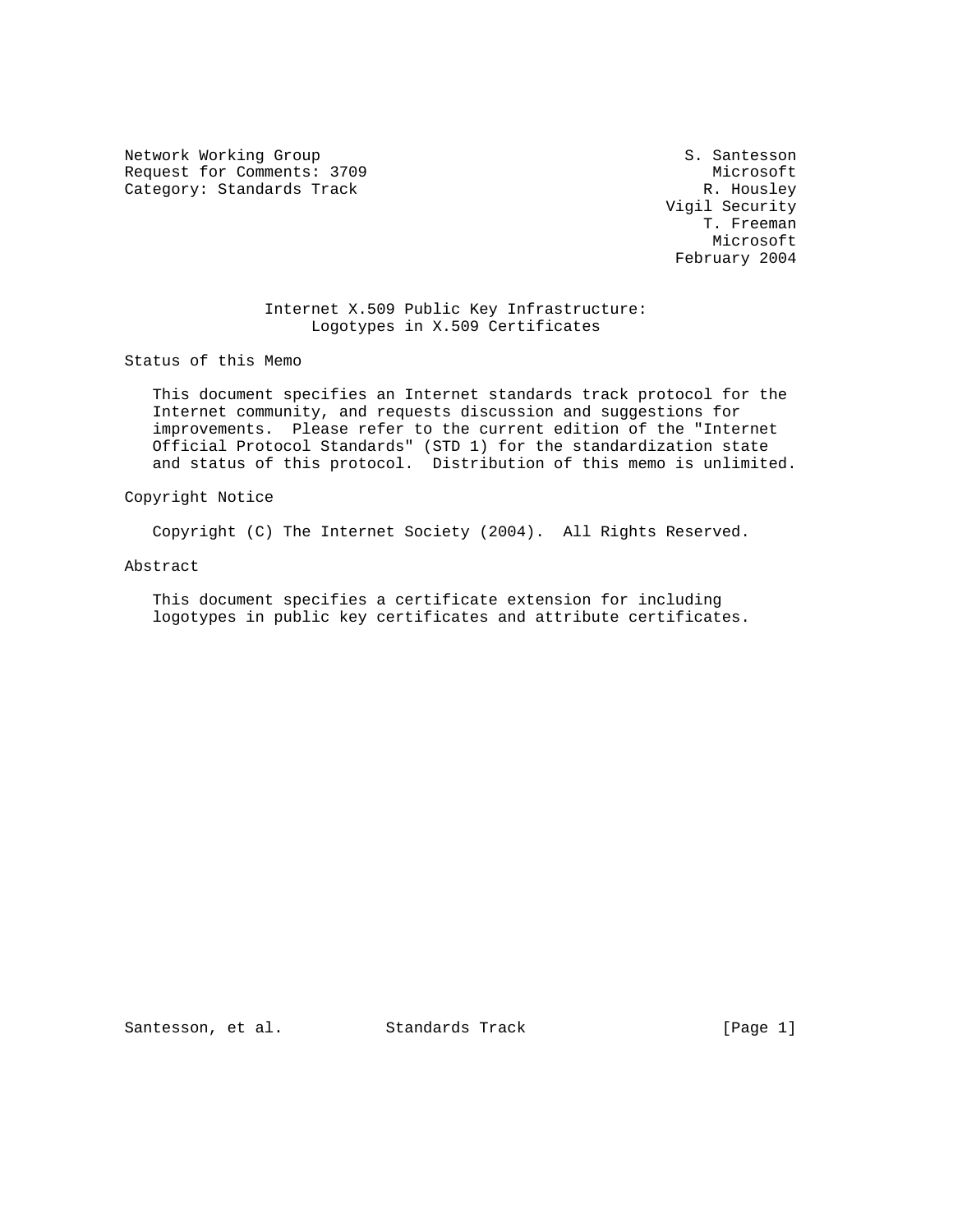Network Working Group S. Santesson Request for Comments: 3709 Microsoft Category: Standards Track

 Vigil Security T. Freeman Microsoft February 2004

# Internet X.509 Public Key Infrastructure: Logotypes in X.509 Certificates

Status of this Memo

 This document specifies an Internet standards track protocol for the Internet community, and requests discussion and suggestions for improvements. Please refer to the current edition of the "Internet Official Protocol Standards" (STD 1) for the standardization state and status of this protocol. Distribution of this memo is unlimited.

Copyright Notice

Copyright (C) The Internet Society (2004). All Rights Reserved.

Abstract

 This document specifies a certificate extension for including logotypes in public key certificates and attribute certificates.

Santesson, et al. Standards Track [Page 1]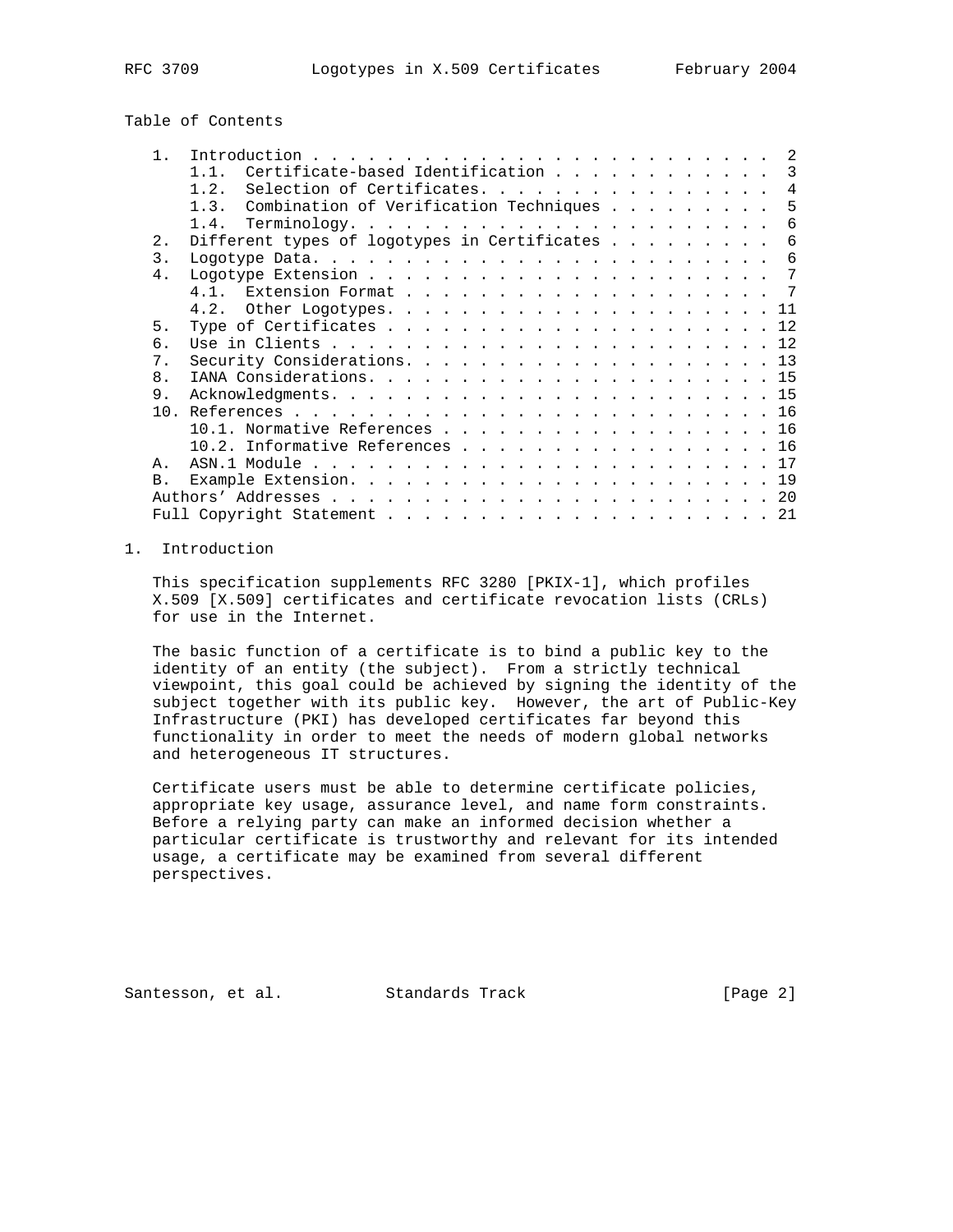# Table of Contents

| $\mathbf{1}$    | $\mathcal{L}$                                                              |
|-----------------|----------------------------------------------------------------------------|
|                 | Certificate-based Identification<br>$\overline{\phantom{a}3}$<br>$1\quad1$ |
|                 | Selection of Certificates.<br>$\overline{4}$<br>1.2.                       |
|                 | Combination of Verification Techniques<br>$1 \cdot 3$<br>5                 |
|                 | 6                                                                          |
| $2$ .           | Different types of logotypes in Certificates<br>-6                         |
| 3.              | 6                                                                          |
| $4$ .           |                                                                            |
|                 |                                                                            |
|                 |                                                                            |
| 5.              |                                                                            |
| 6               |                                                                            |
| $7$ .           |                                                                            |
| 8.              |                                                                            |
| 9.              |                                                                            |
| 10 <sub>1</sub> |                                                                            |
|                 | 10.1. Normative References 16                                              |
|                 | $10.2.$ Informative References 16                                          |
| Ά.              |                                                                            |
| B <sub>1</sub>  |                                                                            |
|                 |                                                                            |
|                 |                                                                            |
|                 |                                                                            |

# 1. Introduction

 This specification supplements RFC 3280 [PKIX-1], which profiles X.509 [X.509] certificates and certificate revocation lists (CRLs) for use in the Internet.

 The basic function of a certificate is to bind a public key to the identity of an entity (the subject). From a strictly technical viewpoint, this goal could be achieved by signing the identity of the subject together with its public key. However, the art of Public-Key Infrastructure (PKI) has developed certificates far beyond this functionality in order to meet the needs of modern global networks and heterogeneous IT structures.

 Certificate users must be able to determine certificate policies, appropriate key usage, assurance level, and name form constraints. Before a relying party can make an informed decision whether a particular certificate is trustworthy and relevant for its intended usage, a certificate may be examined from several different perspectives.

Santesson, et al. Standards Track [Page 2]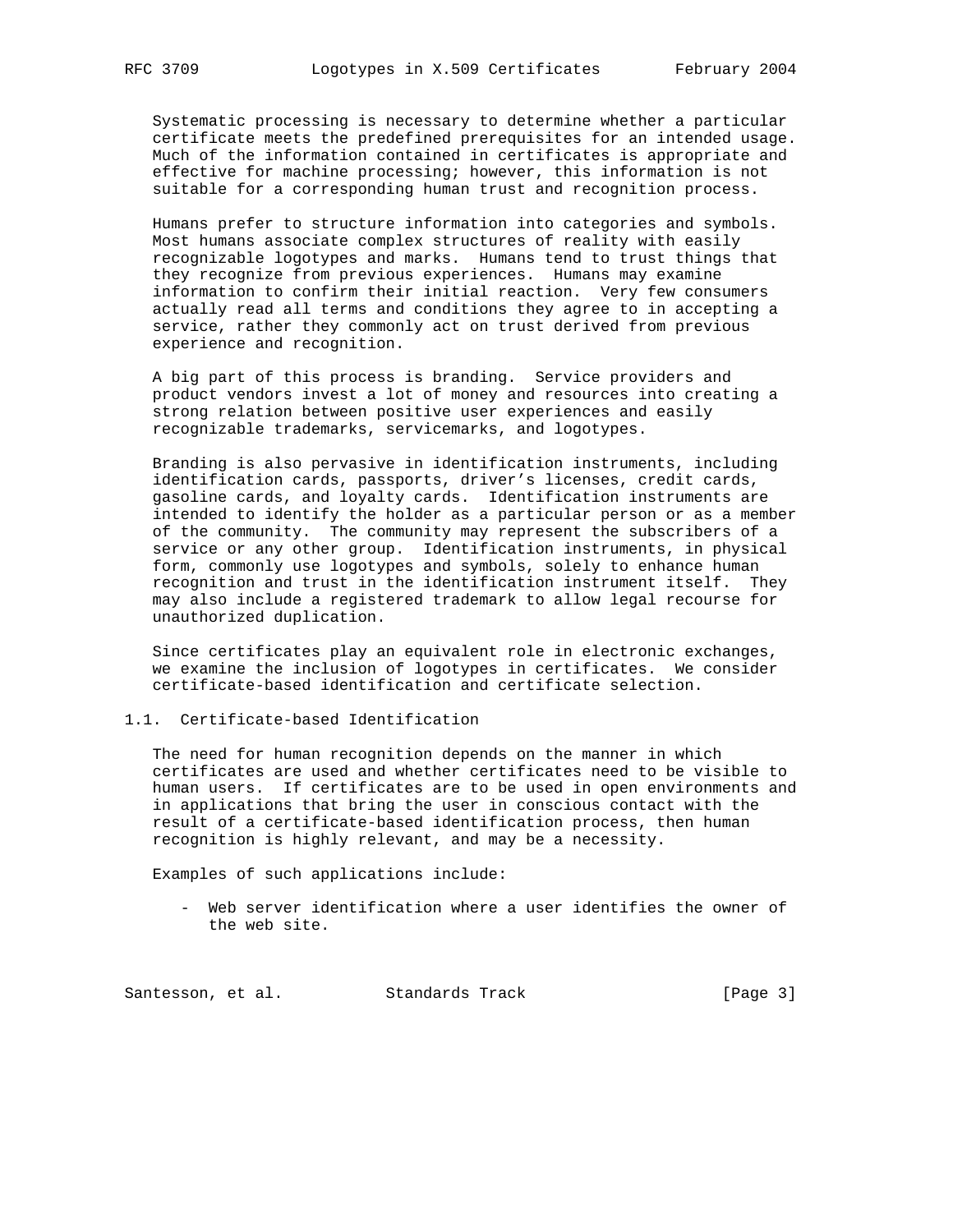Systematic processing is necessary to determine whether a particular certificate meets the predefined prerequisites for an intended usage. Much of the information contained in certificates is appropriate and effective for machine processing; however, this information is not suitable for a corresponding human trust and recognition process.

 Humans prefer to structure information into categories and symbols. Most humans associate complex structures of reality with easily recognizable logotypes and marks. Humans tend to trust things that they recognize from previous experiences. Humans may examine information to confirm their initial reaction. Very few consumers actually read all terms and conditions they agree to in accepting a service, rather they commonly act on trust derived from previous experience and recognition.

 A big part of this process is branding. Service providers and product vendors invest a lot of money and resources into creating a strong relation between positive user experiences and easily recognizable trademarks, servicemarks, and logotypes.

 Branding is also pervasive in identification instruments, including identification cards, passports, driver's licenses, credit cards, gasoline cards, and loyalty cards. Identification instruments are intended to identify the holder as a particular person or as a member of the community. The community may represent the subscribers of a service or any other group. Identification instruments, in physical form, commonly use logotypes and symbols, solely to enhance human recognition and trust in the identification instrument itself. They may also include a registered trademark to allow legal recourse for unauthorized duplication.

 Since certificates play an equivalent role in electronic exchanges, we examine the inclusion of logotypes in certificates. We consider certificate-based identification and certificate selection.

1.1. Certificate-based Identification

 The need for human recognition depends on the manner in which certificates are used and whether certificates need to be visible to human users. If certificates are to be used in open environments and in applications that bring the user in conscious contact with the result of a certificate-based identification process, then human recognition is highly relevant, and may be a necessity.

Examples of such applications include:

 - Web server identification where a user identifies the owner of the web site.

Santesson, et al. Standards Track [Page 3]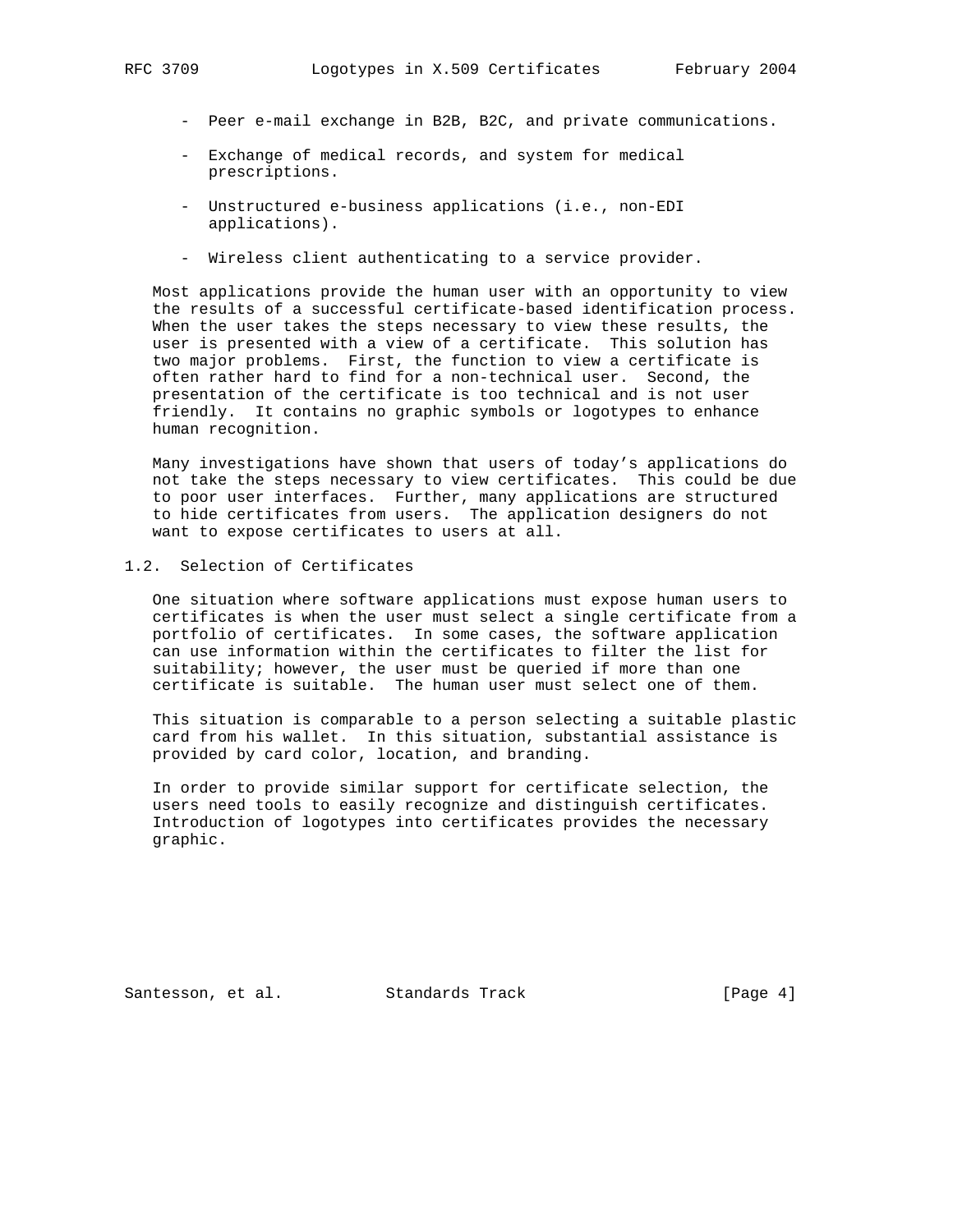- - Peer e-mail exchange in B2B, B2C, and private communications.
	- Exchange of medical records, and system for medical prescriptions.
	- Unstructured e-business applications (i.e., non-EDI applications).
	- Wireless client authenticating to a service provider.

 Most applications provide the human user with an opportunity to view the results of a successful certificate-based identification process. When the user takes the steps necessary to view these results, the user is presented with a view of a certificate. This solution has two major problems. First, the function to view a certificate is often rather hard to find for a non-technical user. Second, the presentation of the certificate is too technical and is not user friendly. It contains no graphic symbols or logotypes to enhance human recognition.

 Many investigations have shown that users of today's applications do not take the steps necessary to view certificates. This could be due to poor user interfaces. Further, many applications are structured to hide certificates from users. The application designers do not want to expose certificates to users at all.

1.2. Selection of Certificates

 One situation where software applications must expose human users to certificates is when the user must select a single certificate from a portfolio of certificates. In some cases, the software application can use information within the certificates to filter the list for suitability; however, the user must be queried if more than one certificate is suitable. The human user must select one of them.

 This situation is comparable to a person selecting a suitable plastic card from his wallet. In this situation, substantial assistance is provided by card color, location, and branding.

 In order to provide similar support for certificate selection, the users need tools to easily recognize and distinguish certificates. Introduction of logotypes into certificates provides the necessary graphic.

Santesson, et al. Standards Track [Page 4]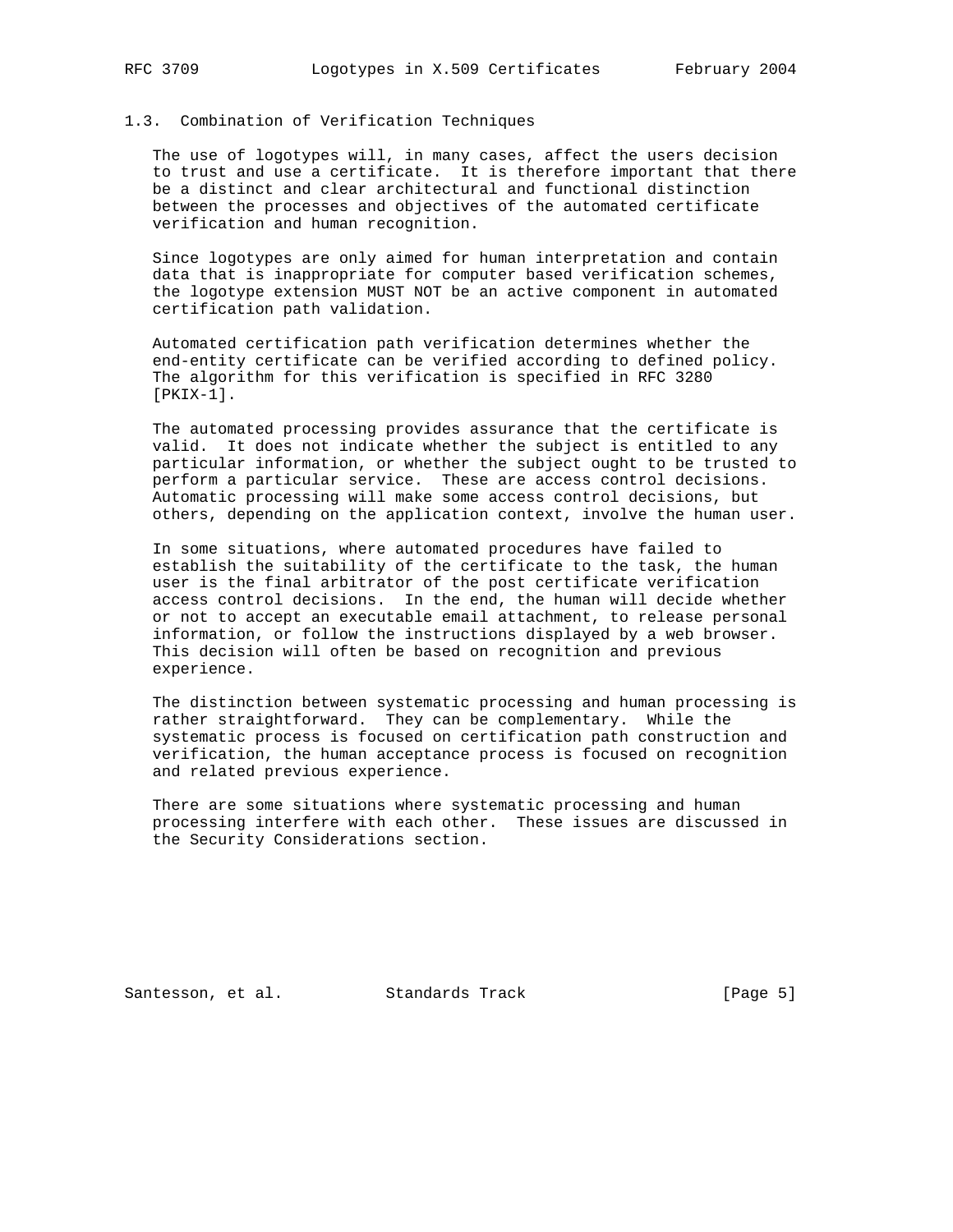# 1.3. Combination of Verification Techniques

 The use of logotypes will, in many cases, affect the users decision to trust and use a certificate. It is therefore important that there be a distinct and clear architectural and functional distinction between the processes and objectives of the automated certificate verification and human recognition.

 Since logotypes are only aimed for human interpretation and contain data that is inappropriate for computer based verification schemes, the logotype extension MUST NOT be an active component in automated certification path validation.

 Automated certification path verification determines whether the end-entity certificate can be verified according to defined policy. The algorithm for this verification is specified in RFC 3280 [PKIX-1].

 The automated processing provides assurance that the certificate is valid. It does not indicate whether the subject is entitled to any particular information, or whether the subject ought to be trusted to perform a particular service. These are access control decisions. Automatic processing will make some access control decisions, but others, depending on the application context, involve the human user.

 In some situations, where automated procedures have failed to establish the suitability of the certificate to the task, the human user is the final arbitrator of the post certificate verification access control decisions. In the end, the human will decide whether or not to accept an executable email attachment, to release personal information, or follow the instructions displayed by a web browser. This decision will often be based on recognition and previous experience.

 The distinction between systematic processing and human processing is rather straightforward. They can be complementary. While the systematic process is focused on certification path construction and verification, the human acceptance process is focused on recognition and related previous experience.

 There are some situations where systematic processing and human processing interfere with each other. These issues are discussed in the Security Considerations section.

Santesson, et al. Standards Track [Page 5]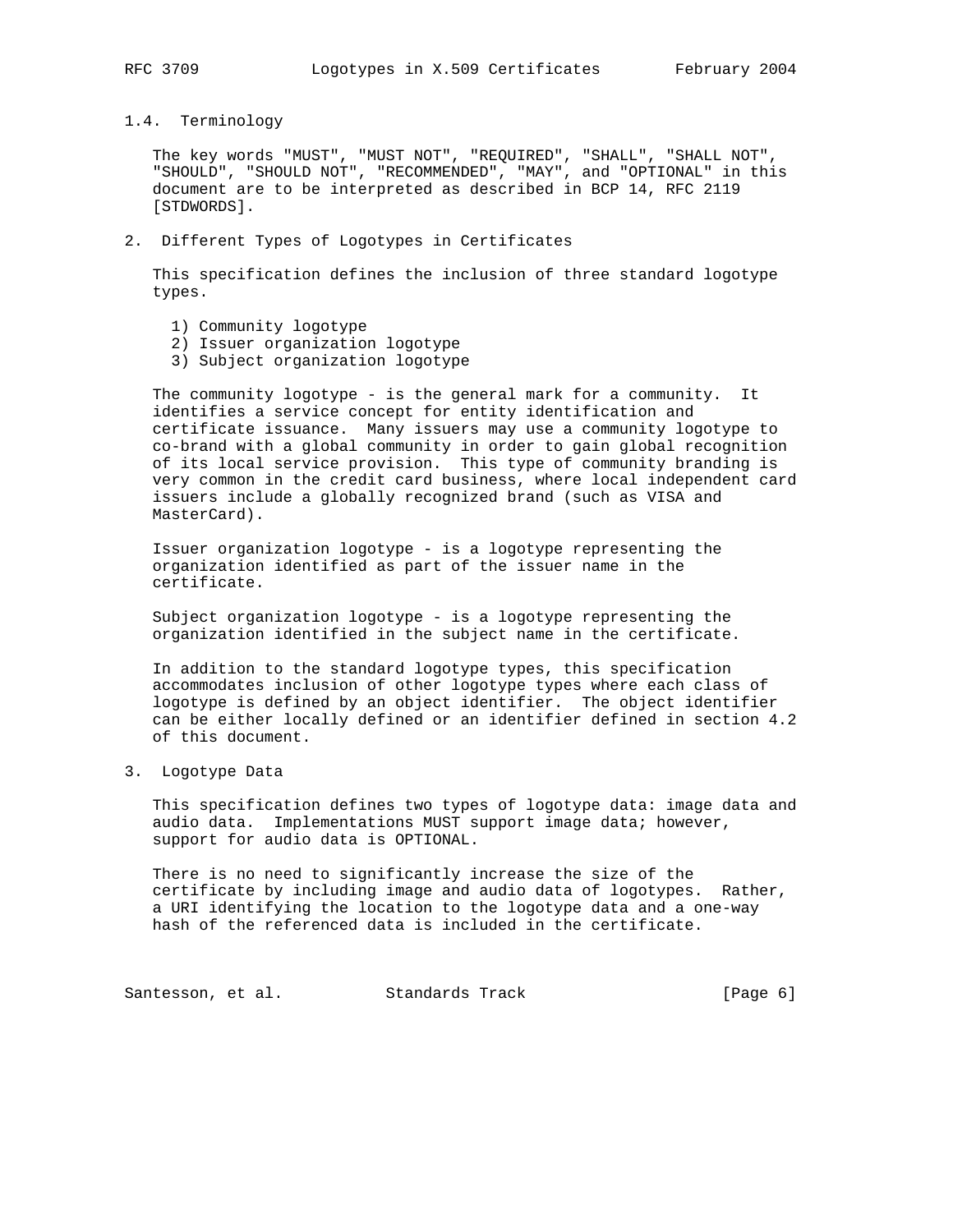1.4. Terminology

 The key words "MUST", "MUST NOT", "REQUIRED", "SHALL", "SHALL NOT", "SHOULD", "SHOULD NOT", "RECOMMENDED", "MAY", and "OPTIONAL" in this document are to be interpreted as described in BCP 14, RFC 2119 [STDWORDS].

2. Different Types of Logotypes in Certificates

 This specification defines the inclusion of three standard logotype types.

- 1) Community logotype
- 2) Issuer organization logotype
- 3) Subject organization logotype

 The community logotype - is the general mark for a community. It identifies a service concept for entity identification and certificate issuance. Many issuers may use a community logotype to co-brand with a global community in order to gain global recognition of its local service provision. This type of community branding is very common in the credit card business, where local independent card issuers include a globally recognized brand (such as VISA and MasterCard).

 Issuer organization logotype - is a logotype representing the organization identified as part of the issuer name in the certificate.

 Subject organization logotype - is a logotype representing the organization identified in the subject name in the certificate.

 In addition to the standard logotype types, this specification accommodates inclusion of other logotype types where each class of logotype is defined by an object identifier. The object identifier can be either locally defined or an identifier defined in section 4.2 of this document.

3. Logotype Data

 This specification defines two types of logotype data: image data and audio data. Implementations MUST support image data; however, support for audio data is OPTIONAL.

 There is no need to significantly increase the size of the certificate by including image and audio data of logotypes. Rather, a URI identifying the location to the logotype data and a one-way hash of the referenced data is included in the certificate.

Santesson, et al. Standards Track [Page 6]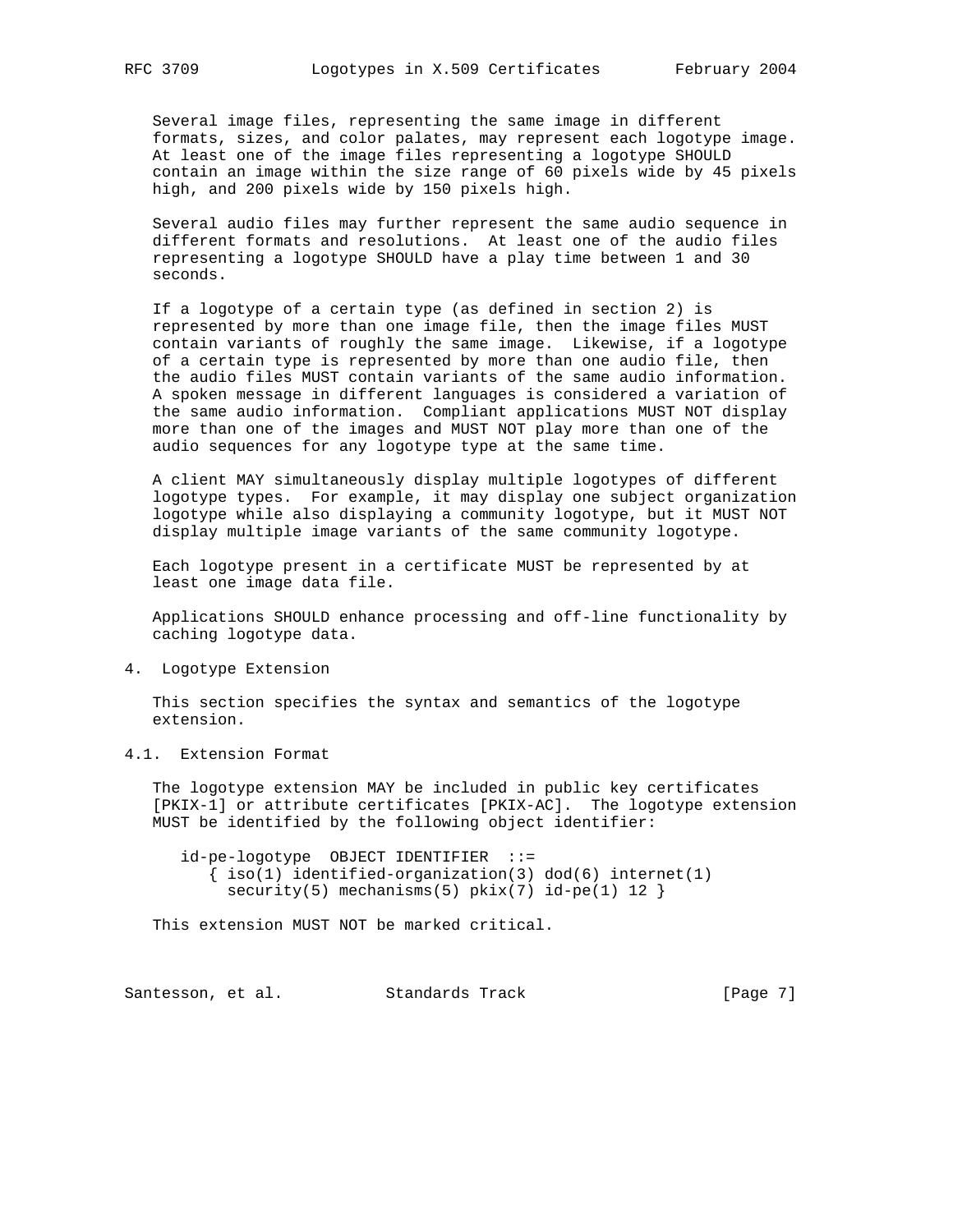Several image files, representing the same image in different formats, sizes, and color palates, may represent each logotype image. At least one of the image files representing a logotype SHOULD contain an image within the size range of 60 pixels wide by 45 pixels high, and 200 pixels wide by 150 pixels high.

 Several audio files may further represent the same audio sequence in different formats and resolutions. At least one of the audio files representing a logotype SHOULD have a play time between 1 and 30 seconds.

 If a logotype of a certain type (as defined in section 2) is represented by more than one image file, then the image files MUST contain variants of roughly the same image. Likewise, if a logotype of a certain type is represented by more than one audio file, then the audio files MUST contain variants of the same audio information. A spoken message in different languages is considered a variation of the same audio information. Compliant applications MUST NOT display more than one of the images and MUST NOT play more than one of the audio sequences for any logotype type at the same time.

 A client MAY simultaneously display multiple logotypes of different logotype types. For example, it may display one subject organization logotype while also displaying a community logotype, but it MUST NOT display multiple image variants of the same community logotype.

 Each logotype present in a certificate MUST be represented by at least one image data file.

 Applications SHOULD enhance processing and off-line functionality by caching logotype data.

4. Logotype Extension

 This section specifies the syntax and semantics of the logotype extension.

4.1. Extension Format

 The logotype extension MAY be included in public key certificates [PKIX-1] or attribute certificates [PKIX-AC]. The logotype extension MUST be identified by the following object identifier:

 id-pe-logotype OBJECT IDENTIFIER ::=  $\{ iso(1) *identified-organization(3)  $dod(6) *internet(1)*$*$  $security(5)$  mechanisms(5)  $pix(7)$  id-pe(1) 12 }

This extension MUST NOT be marked critical.

Santesson, et al. Standards Track [Page 7]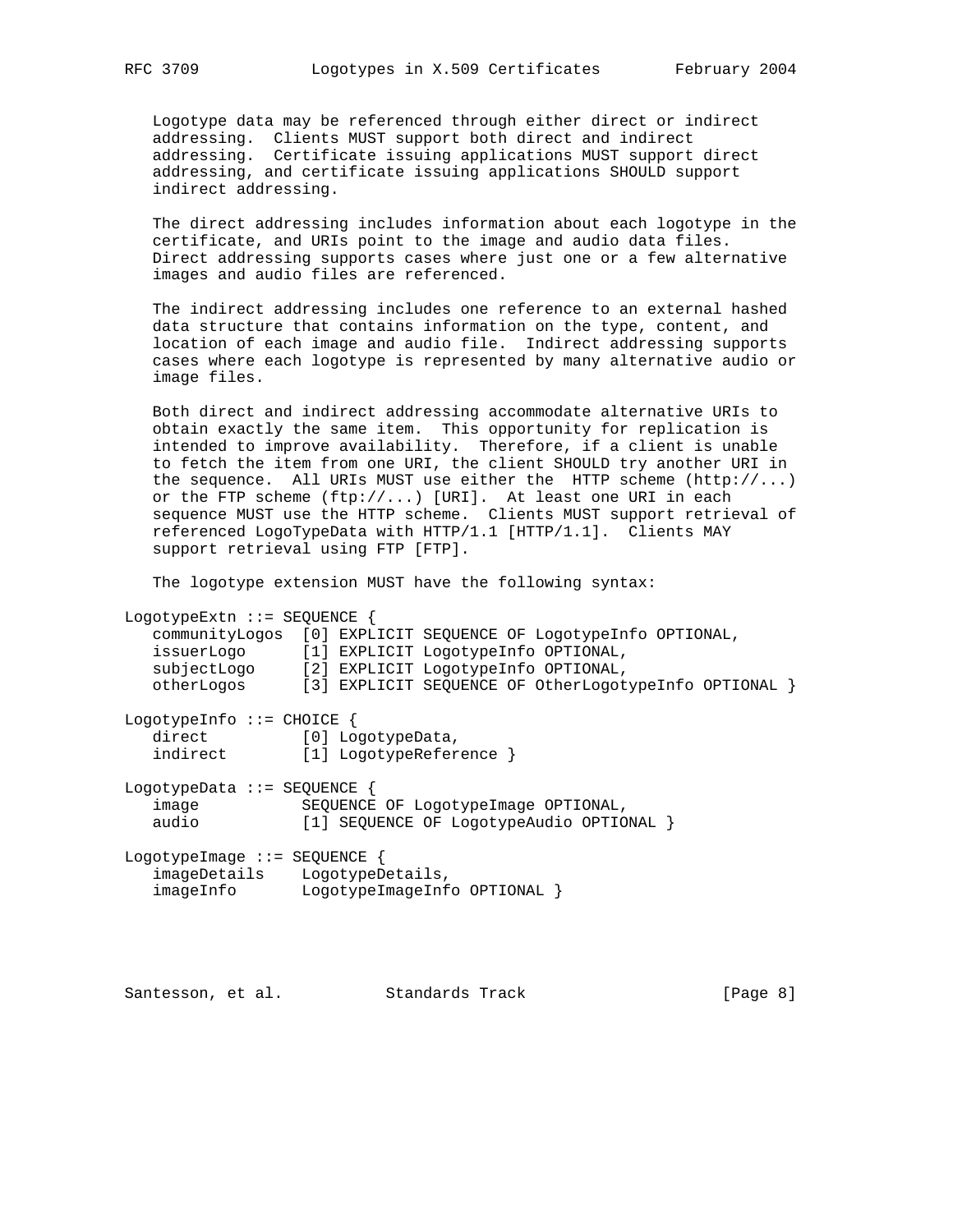Logotype data may be referenced through either direct or indirect addressing. Clients MUST support both direct and indirect addressing. Certificate issuing applications MUST support direct addressing, and certificate issuing applications SHOULD support indirect addressing.

 The direct addressing includes information about each logotype in the certificate, and URIs point to the image and audio data files. Direct addressing supports cases where just one or a few alternative images and audio files are referenced.

 The indirect addressing includes one reference to an external hashed data structure that contains information on the type, content, and location of each image and audio file. Indirect addressing supports cases where each logotype is represented by many alternative audio or image files.

 Both direct and indirect addressing accommodate alternative URIs to obtain exactly the same item. This opportunity for replication is intended to improve availability. Therefore, if a client is unable to fetch the item from one URI, the client SHOULD try another URI in the sequence. All URIs MUST use either the HTTP scheme  $(http://...)$  or the FTP scheme (ftp://...) [URI]. At least one URI in each sequence MUST use the HTTP scheme. Clients MUST support retrieval of referenced LogoTypeData with HTTP/1.1 [HTTP/1.1]. Clients MAY support retrieval using FTP [FTP].

The logotype extension MUST have the following syntax:

LogotypeExtn ::= SEQUENCE { communityLogos [0] EXPLICIT SEQUENCE OF LogotypeInfo OPTIONAL, issuerLogo [1] EXPLICIT LogotypeInfo OPTIONAL, subjectLogo [2] EXPLICIT LogotypeInfo OPTIONAL, otherLogos [3] EXPLICIT SEQUENCE OF OtherLogotypeInfo OPTIONAL } LogotypeInfo ::= CHOICE { direct [0] LogotypeData, indirect [1] LogotypeReference } LogotypeData ::= SEQUENCE { image SEQUENCE OF LogotypeImage OPTIONAL,<br>audio [1] SEQUENCE OF LogotypeAudio OPTIO [1] SEQUENCE OF LogotypeAudio OPTIONAL } LogotypeImage ::= SEQUENCE { imageDetails LogotypeDetails, imageInfo LogotypeImageInfo OPTIONAL }

Santesson, et al. Standards Track [Page 8]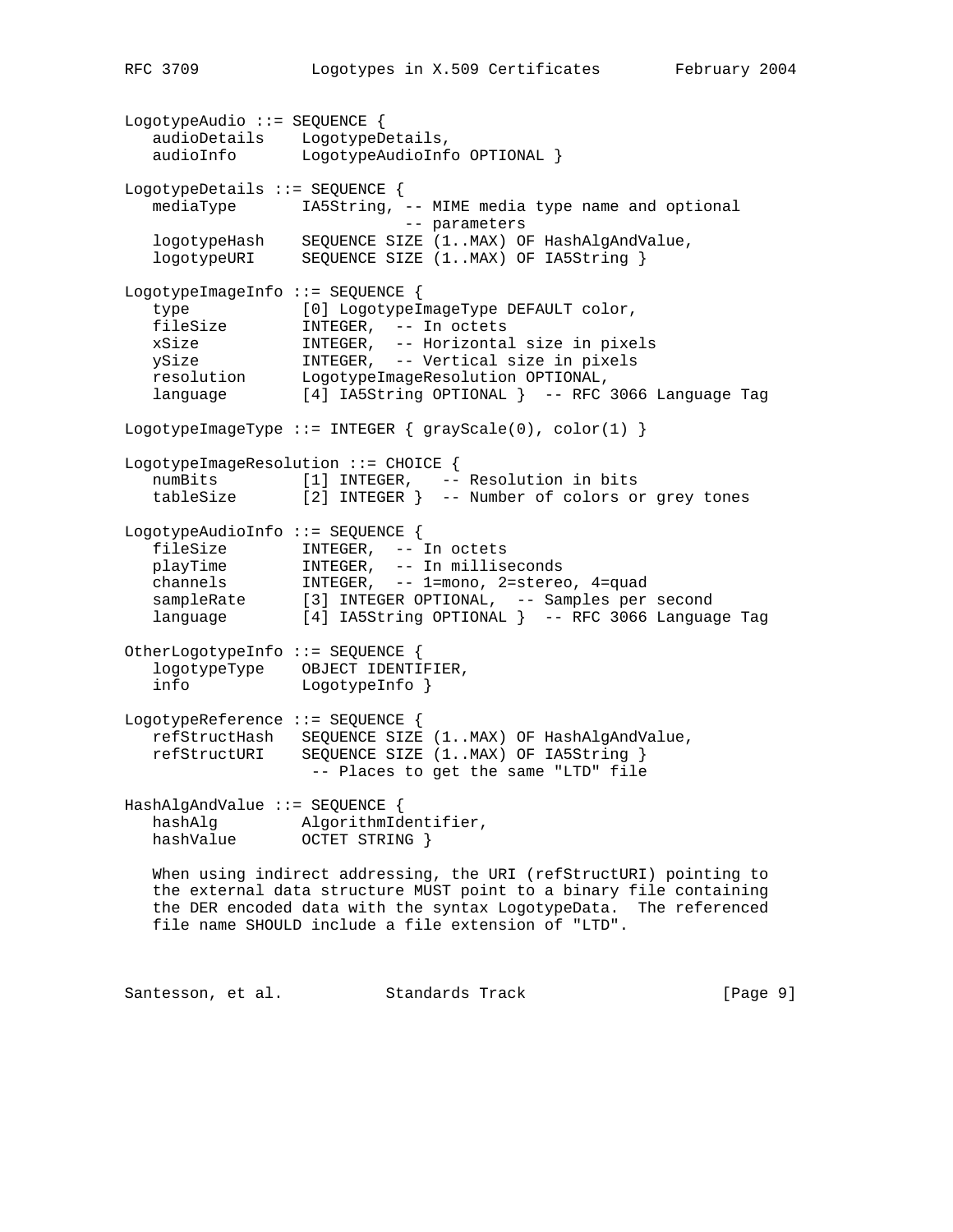```
LogotypeAudio ::= SEQUENCE {
 audioDetails LogotypeDetails,
 audioInfo LogotypeAudioInfo OPTIONAL }
LogotypeDetails ::= SEQUENCE {
  mediaType IA5String, -- MIME media type name and optional
                            -- parameters
  logotypeHash SEQUENCE SIZE (1..MAX) OF HashAlgAndValue,
  logotypeURI SEQUENCE SIZE (1..MAX) OF IA5String }
LogotypeImageInfo ::= SEQUENCE {
 type [0] LogotypeImageType DEFAULT color,
 fileSize INTEGER, -- In octets
 xSize INTEGER, -- Horizontal size in pixels
 ySize INTEGER, -- Vertical size in pixels
 resolution LogotypeImageResolution OPTIONAL,
 language [4] IA5String OPTIONAL } -- RFC 3066 Language Tag
LogotypeImageType ::= INTEGER { grayScale(0), color(1) }
LogotypeImageResolution ::= CHOICE {
  numBits [1] INTEGER, -- Resolution in bits
   tableSize [2] INTEGER } -- Number of colors or grey tones
LogotypeAudioInfo ::= SEQUENCE {
 fileSize INTEGER, -- In octets
 playTime INTEGER, -- In milliseconds
 channels INTEGER, -- 1=mono, 2=stereo, 4=quad
 sampleRate [3] INTEGER OPTIONAL, -- Samples per second
 language [4] IA5String OPTIONAL } -- RFC 3066 Language Tag
OtherLogotypeInfo ::= SEQUENCE {
   logotypeType OBJECT IDENTIFIER,
   info LogotypeInfo }
LogotypeReference ::= SEQUENCE {
   refStructHash SEQUENCE SIZE (1..MAX) OF HashAlgAndValue,
   refStructURI SEQUENCE SIZE (1..MAX) OF IA5String }
                  -- Places to get the same "LTD" file
HashAlgAndValue ::= SEQUENCE {
  hashAlg AlgorithmIdentifier,<br>hashValue OCTET STRING }
               OCTET STRING }
   When using indirect addressing, the URI (refStructURI) pointing to
   the external data structure MUST point to a binary file containing
   the DER encoded data with the syntax LogotypeData. The referenced
   file name SHOULD include a file extension of "LTD".
```
Santesson, et al. Standards Track [Page 9]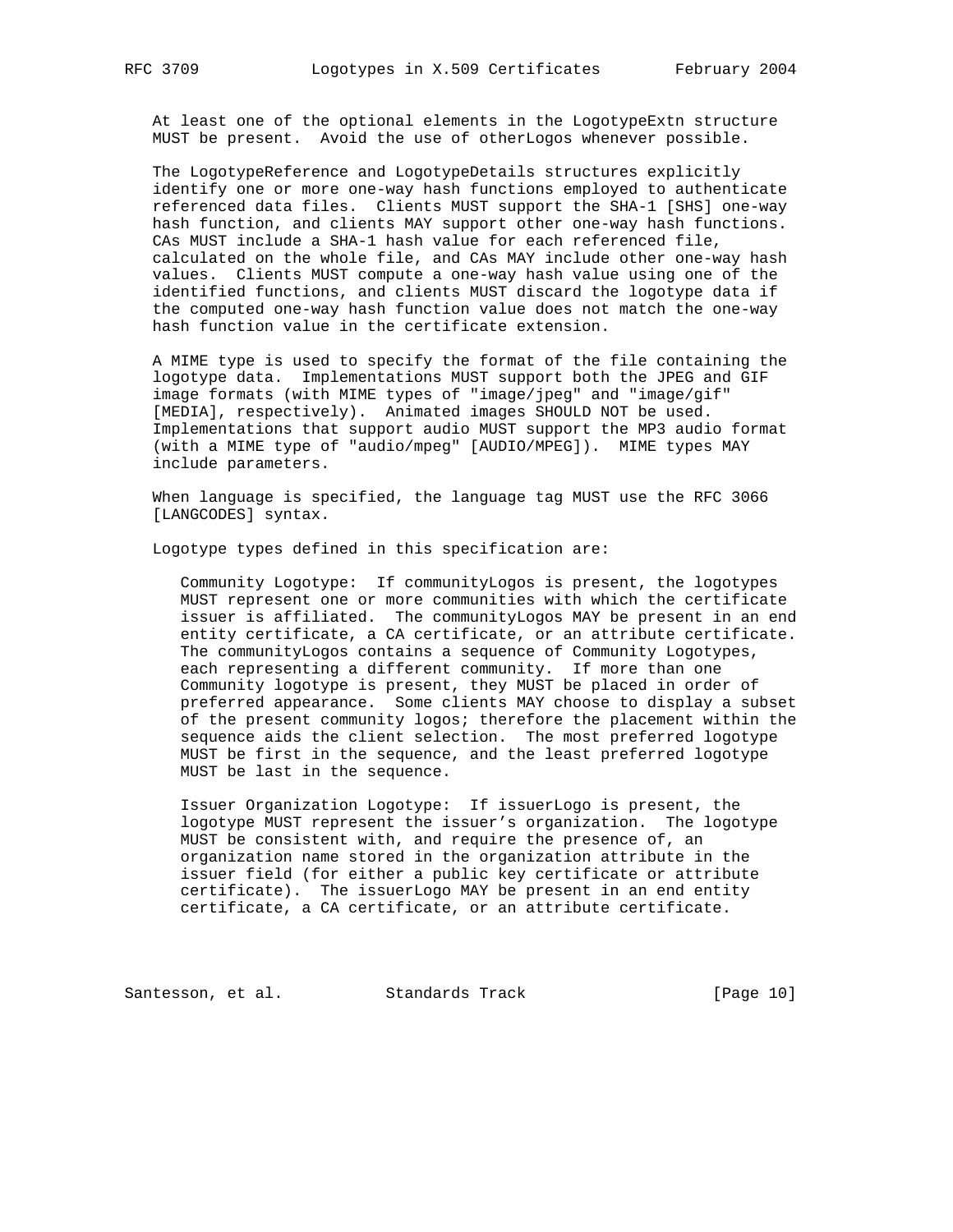At least one of the optional elements in the LogotypeExtn structure MUST be present. Avoid the use of otherLogos whenever possible.

 The LogotypeReference and LogotypeDetails structures explicitly identify one or more one-way hash functions employed to authenticate referenced data files. Clients MUST support the SHA-1 [SHS] one-way hash function, and clients MAY support other one-way hash functions. CAs MUST include a SHA-1 hash value for each referenced file, calculated on the whole file, and CAs MAY include other one-way hash values. Clients MUST compute a one-way hash value using one of the identified functions, and clients MUST discard the logotype data if the computed one-way hash function value does not match the one-way hash function value in the certificate extension.

 A MIME type is used to specify the format of the file containing the logotype data. Implementations MUST support both the JPEG and GIF image formats (with MIME types of "image/jpeg" and "image/gif" [MEDIA], respectively). Animated images SHOULD NOT be used. Implementations that support audio MUST support the MP3 audio format (with a MIME type of "audio/mpeg" [AUDIO/MPEG]). MIME types MAY include parameters.

 When language is specified, the language tag MUST use the RFC 3066 [LANGCODES] syntax.

Logotype types defined in this specification are:

 Community Logotype: If communityLogos is present, the logotypes MUST represent one or more communities with which the certificate issuer is affiliated. The communityLogos MAY be present in an end entity certificate, a CA certificate, or an attribute certificate. The communityLogos contains a sequence of Community Logotypes, each representing a different community. If more than one Community logotype is present, they MUST be placed in order of preferred appearance. Some clients MAY choose to display a subset of the present community logos; therefore the placement within the sequence aids the client selection. The most preferred logotype MUST be first in the sequence, and the least preferred logotype MUST be last in the sequence.

 Issuer Organization Logotype: If issuerLogo is present, the logotype MUST represent the issuer's organization. The logotype MUST be consistent with, and require the presence of, an organization name stored in the organization attribute in the issuer field (for either a public key certificate or attribute certificate). The issuerLogo MAY be present in an end entity certificate, a CA certificate, or an attribute certificate.

Santesson, et al. Standards Track [Page 10]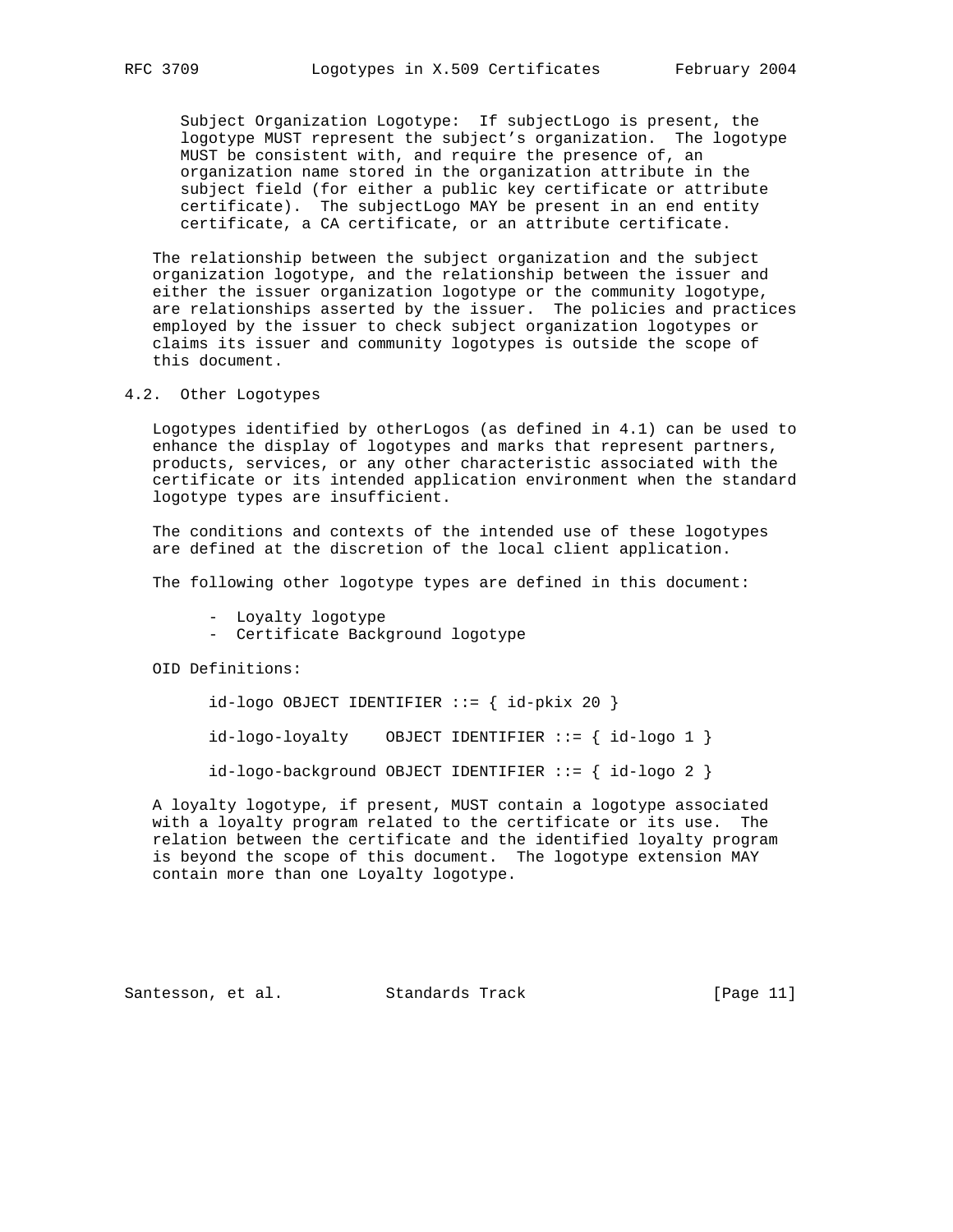Subject Organization Logotype: If subjectLogo is present, the logotype MUST represent the subject's organization. The logotype MUST be consistent with, and require the presence of, an organization name stored in the organization attribute in the subject field (for either a public key certificate or attribute certificate). The subjectLogo MAY be present in an end entity certificate, a CA certificate, or an attribute certificate.

 The relationship between the subject organization and the subject organization logotype, and the relationship between the issuer and either the issuer organization logotype or the community logotype, are relationships asserted by the issuer. The policies and practices employed by the issuer to check subject organization logotypes or claims its issuer and community logotypes is outside the scope of this document.

4.2. Other Logotypes

 Logotypes identified by otherLogos (as defined in 4.1) can be used to enhance the display of logotypes and marks that represent partners, products, services, or any other characteristic associated with the certificate or its intended application environment when the standard logotype types are insufficient.

 The conditions and contexts of the intended use of these logotypes are defined at the discretion of the local client application.

The following other logotype types are defined in this document:

- Loyalty logotype
- Certificate Background logotype

OID Definitions:

 $id-logo$  OBJECT IDENTIFIER  $::=$  {  $id-pkix 20$  }

 $id-logo-logality$  OBJECT IDENTIFIER ::= {  $id-logo 1$  }

 $id-logo-background OBJECT IDENTIFYER ::= { id-logo 2 }$ 

 A loyalty logotype, if present, MUST contain a logotype associated with a loyalty program related to the certificate or its use. The relation between the certificate and the identified loyalty program is beyond the scope of this document. The logotype extension MAY contain more than one Loyalty logotype.

Santesson, et al. Standards Track [Page 11]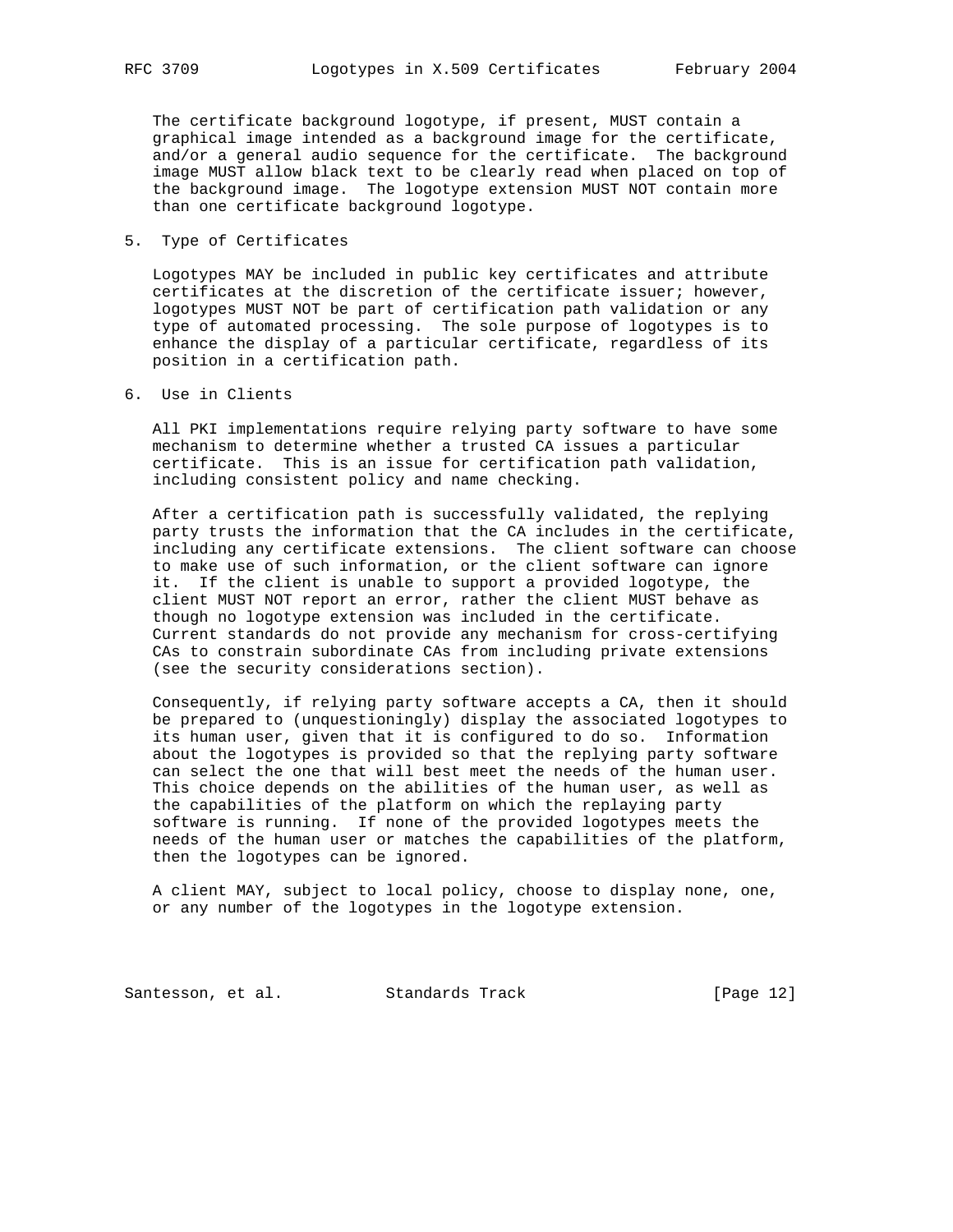The certificate background logotype, if present, MUST contain a graphical image intended as a background image for the certificate, and/or a general audio sequence for the certificate. The background image MUST allow black text to be clearly read when placed on top of the background image. The logotype extension MUST NOT contain more than one certificate background logotype.

5. Type of Certificates

 Logotypes MAY be included in public key certificates and attribute certificates at the discretion of the certificate issuer; however, logotypes MUST NOT be part of certification path validation or any type of automated processing. The sole purpose of logotypes is to enhance the display of a particular certificate, regardless of its position in a certification path.

6. Use in Clients

 All PKI implementations require relying party software to have some mechanism to determine whether a trusted CA issues a particular certificate. This is an issue for certification path validation, including consistent policy and name checking.

 After a certification path is successfully validated, the replying party trusts the information that the CA includes in the certificate, including any certificate extensions. The client software can choose to make use of such information, or the client software can ignore it. If the client is unable to support a provided logotype, the client MUST NOT report an error, rather the client MUST behave as though no logotype extension was included in the certificate. Current standards do not provide any mechanism for cross-certifying CAs to constrain subordinate CAs from including private extensions (see the security considerations section).

 Consequently, if relying party software accepts a CA, then it should be prepared to (unquestioningly) display the associated logotypes to its human user, given that it is configured to do so. Information about the logotypes is provided so that the replying party software can select the one that will best meet the needs of the human user. This choice depends on the abilities of the human user, as well as the capabilities of the platform on which the replaying party software is running. If none of the provided logotypes meets the needs of the human user or matches the capabilities of the platform, then the logotypes can be ignored.

 A client MAY, subject to local policy, choose to display none, one, or any number of the logotypes in the logotype extension.

Santesson, et al. Standards Track [Page 12]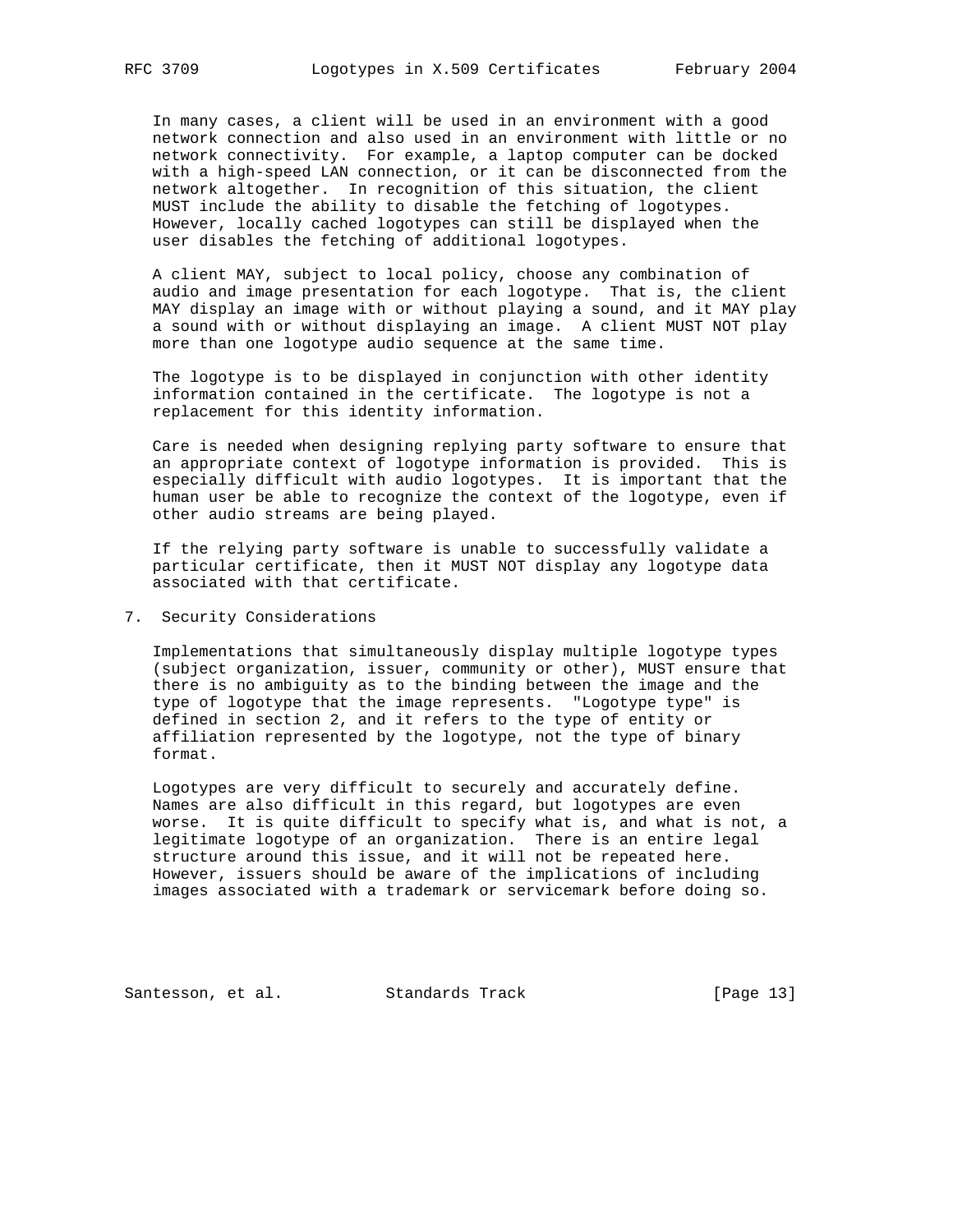In many cases, a client will be used in an environment with a good network connection and also used in an environment with little or no network connectivity. For example, a laptop computer can be docked with a high-speed LAN connection, or it can be disconnected from the network altogether. In recognition of this situation, the client MUST include the ability to disable the fetching of logotypes. However, locally cached logotypes can still be displayed when the user disables the fetching of additional logotypes.

 A client MAY, subject to local policy, choose any combination of audio and image presentation for each logotype. That is, the client MAY display an image with or without playing a sound, and it MAY play a sound with or without displaying an image. A client MUST NOT play more than one logotype audio sequence at the same time.

 The logotype is to be displayed in conjunction with other identity information contained in the certificate. The logotype is not a replacement for this identity information.

 Care is needed when designing replying party software to ensure that an appropriate context of logotype information is provided. This is especially difficult with audio logotypes. It is important that the human user be able to recognize the context of the logotype, even if other audio streams are being played.

 If the relying party software is unable to successfully validate a particular certificate, then it MUST NOT display any logotype data associated with that certificate.

## 7. Security Considerations

 Implementations that simultaneously display multiple logotype types (subject organization, issuer, community or other), MUST ensure that there is no ambiguity as to the binding between the image and the type of logotype that the image represents. "Logotype type" is defined in section 2, and it refers to the type of entity or affiliation represented by the logotype, not the type of binary format.

 Logotypes are very difficult to securely and accurately define. Names are also difficult in this regard, but logotypes are even worse. It is quite difficult to specify what is, and what is not, a legitimate logotype of an organization. There is an entire legal structure around this issue, and it will not be repeated here. However, issuers should be aware of the implications of including images associated with a trademark or servicemark before doing so.

Santesson, et al. Standards Track [Page 13]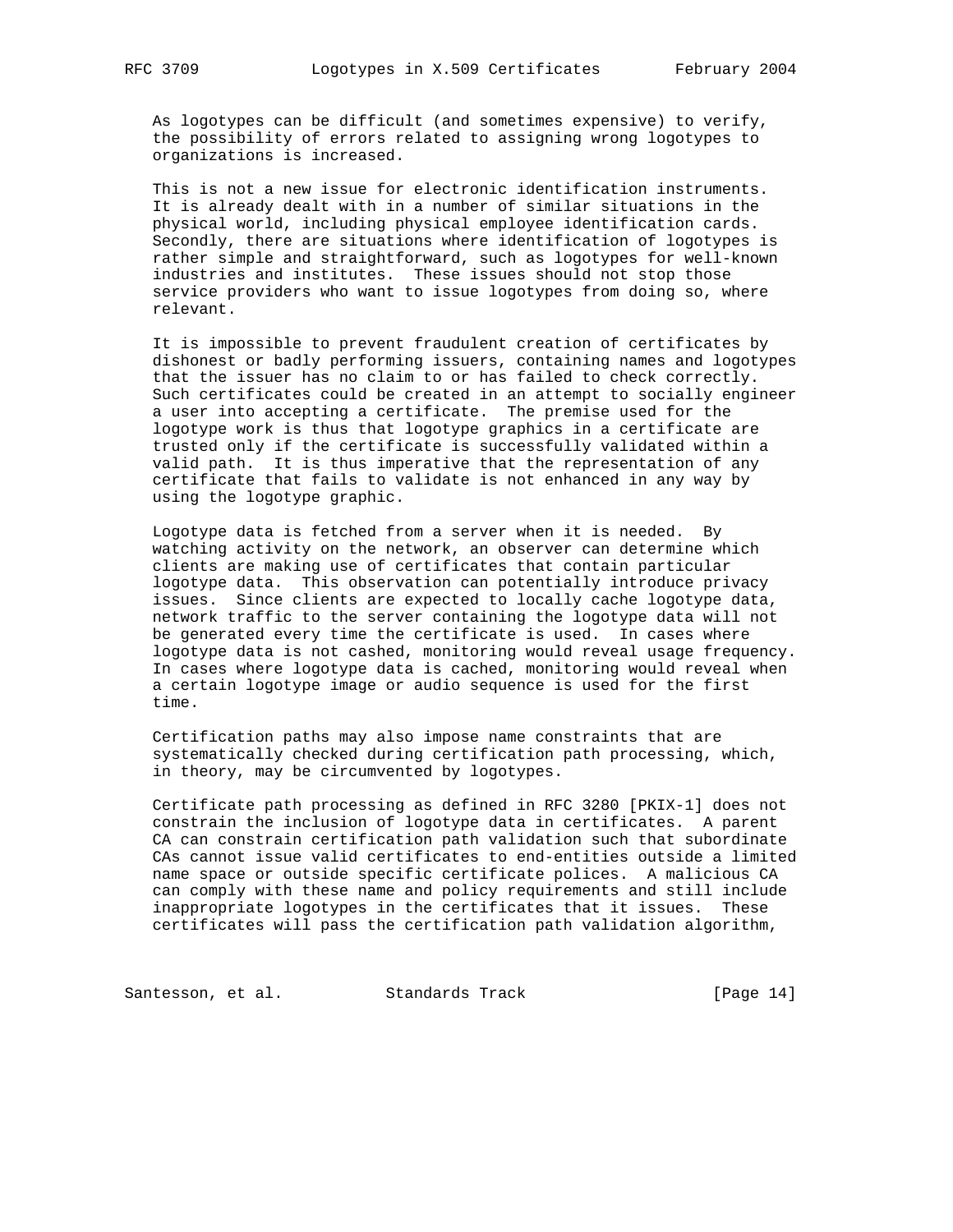As logotypes can be difficult (and sometimes expensive) to verify, the possibility of errors related to assigning wrong logotypes to organizations is increased.

 This is not a new issue for electronic identification instruments. It is already dealt with in a number of similar situations in the physical world, including physical employee identification cards. Secondly, there are situations where identification of logotypes is rather simple and straightforward, such as logotypes for well-known industries and institutes. These issues should not stop those service providers who want to issue logotypes from doing so, where relevant.

 It is impossible to prevent fraudulent creation of certificates by dishonest or badly performing issuers, containing names and logotypes that the issuer has no claim to or has failed to check correctly. Such certificates could be created in an attempt to socially engineer a user into accepting a certificate. The premise used for the logotype work is thus that logotype graphics in a certificate are trusted only if the certificate is successfully validated within a valid path. It is thus imperative that the representation of any certificate that fails to validate is not enhanced in any way by using the logotype graphic.

 Logotype data is fetched from a server when it is needed. By watching activity on the network, an observer can determine which clients are making use of certificates that contain particular logotype data. This observation can potentially introduce privacy issues. Since clients are expected to locally cache logotype data, network traffic to the server containing the logotype data will not be generated every time the certificate is used. In cases where logotype data is not cashed, monitoring would reveal usage frequency. In cases where logotype data is cached, monitoring would reveal when a certain logotype image or audio sequence is used for the first time.

 Certification paths may also impose name constraints that are systematically checked during certification path processing, which, in theory, may be circumvented by logotypes.

 Certificate path processing as defined in RFC 3280 [PKIX-1] does not constrain the inclusion of logotype data in certificates. A parent CA can constrain certification path validation such that subordinate CAs cannot issue valid certificates to end-entities outside a limited name space or outside specific certificate polices. A malicious CA can comply with these name and policy requirements and still include inappropriate logotypes in the certificates that it issues. These certificates will pass the certification path validation algorithm,

Santesson, et al. Standards Track [Page 14]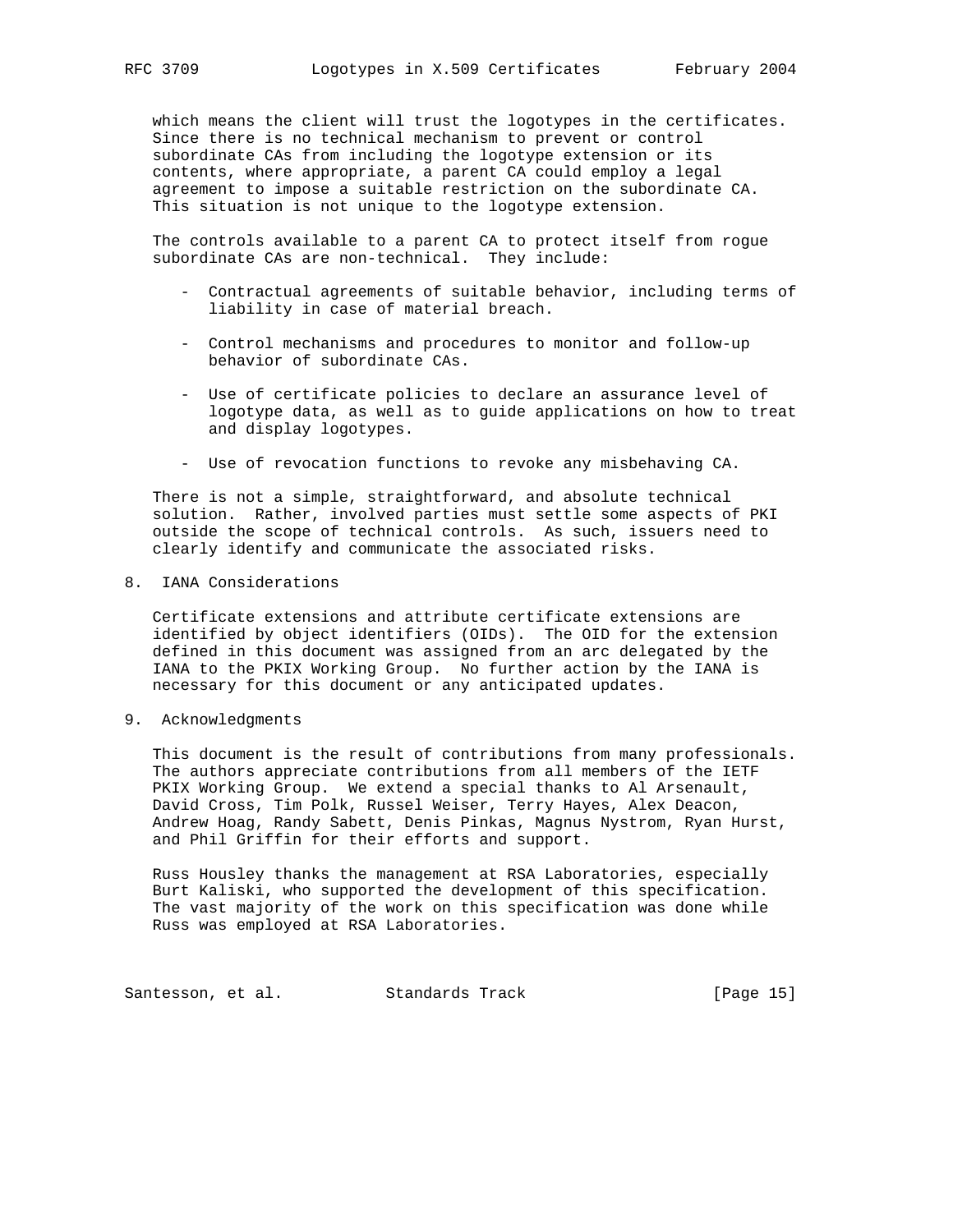which means the client will trust the logotypes in the certificates. Since there is no technical mechanism to prevent or control subordinate CAs from including the logotype extension or its contents, where appropriate, a parent CA could employ a legal agreement to impose a suitable restriction on the subordinate CA. This situation is not unique to the logotype extension.

 The controls available to a parent CA to protect itself from rogue subordinate CAs are non-technical. They include:

- Contractual agreements of suitable behavior, including terms of liability in case of material breach.
- Control mechanisms and procedures to monitor and follow-up behavior of subordinate CAs.
- Use of certificate policies to declare an assurance level of logotype data, as well as to guide applications on how to treat and display logotypes.
- Use of revocation functions to revoke any misbehaving CA.

 There is not a simple, straightforward, and absolute technical solution. Rather, involved parties must settle some aspects of PKI outside the scope of technical controls. As such, issuers need to clearly identify and communicate the associated risks.

### 8. IANA Considerations

 Certificate extensions and attribute certificate extensions are identified by object identifiers (OIDs). The OID for the extension defined in this document was assigned from an arc delegated by the IANA to the PKIX Working Group. No further action by the IANA is necessary for this document or any anticipated updates.

9. Acknowledgments

 This document is the result of contributions from many professionals. The authors appreciate contributions from all members of the IETF PKIX Working Group. We extend a special thanks to Al Arsenault, David Cross, Tim Polk, Russel Weiser, Terry Hayes, Alex Deacon, Andrew Hoag, Randy Sabett, Denis Pinkas, Magnus Nystrom, Ryan Hurst, and Phil Griffin for their efforts and support.

 Russ Housley thanks the management at RSA Laboratories, especially Burt Kaliski, who supported the development of this specification. The vast majority of the work on this specification was done while Russ was employed at RSA Laboratories.

Santesson, et al. Standards Track [Page 15]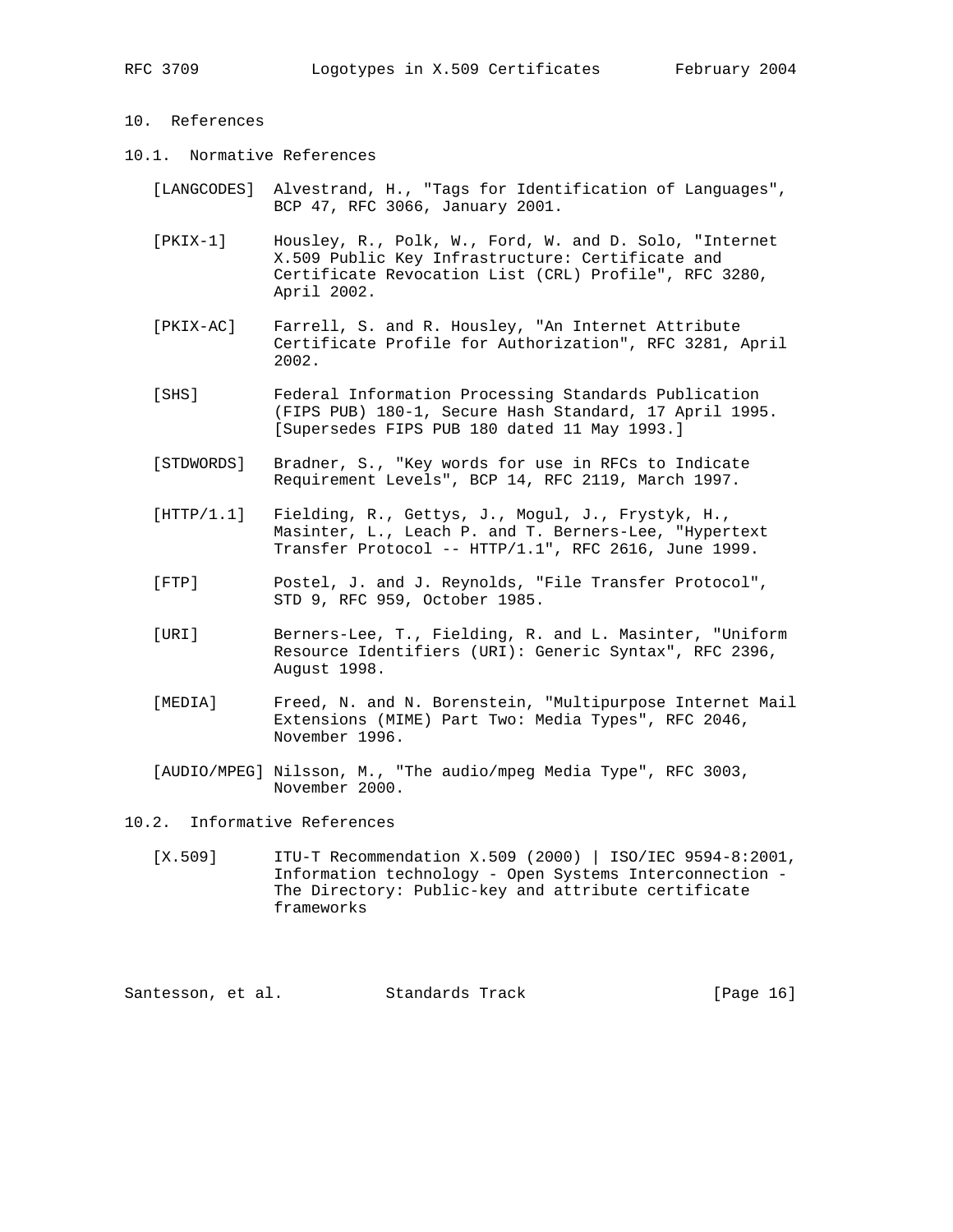# 10. References

- 10.1. Normative References
	- [LANGCODES] Alvestrand, H., "Tags for Identification of Languages", BCP 47, RFC 3066, January 2001.
	- [PKIX-1] Housley, R., Polk, W., Ford, W. and D. Solo, "Internet X.509 Public Key Infrastructure: Certificate and Certificate Revocation List (CRL) Profile", RFC 3280, April 2002.
	- [PKIX-AC] Farrell, S. and R. Housley, "An Internet Attribute Certificate Profile for Authorization", RFC 3281, April 2002.
	- [SHS] Federal Information Processing Standards Publication (FIPS PUB) 180-1, Secure Hash Standard, 17 April 1995. [Supersedes FIPS PUB 180 dated 11 May 1993.]
	- [STDWORDS] Bradner, S., "Key words for use in RFCs to Indicate Requirement Levels", BCP 14, RFC 2119, March 1997.
	- [HTTP/1.1] Fielding, R., Gettys, J., Mogul, J., Frystyk, H., Masinter, L., Leach P. and T. Berners-Lee, "Hypertext Transfer Protocol -- HTTP/1.1", RFC 2616, June 1999.
	- [FTP] Postel, J. and J. Reynolds, "File Transfer Protocol", STD 9, RFC 959, October 1985.
	- [URI] Berners-Lee, T., Fielding, R. and L. Masinter, "Uniform Resource Identifiers (URI): Generic Syntax", RFC 2396, August 1998.
	- [MEDIA] Freed, N. and N. Borenstein, "Multipurpose Internet Mail Extensions (MIME) Part Two: Media Types", RFC 2046, November 1996.
	- [AUDIO/MPEG] Nilsson, M., "The audio/mpeg Media Type", RFC 3003, November 2000.

## 10.2. Informative References

 [X.509] ITU-T Recommendation X.509 (2000) | ISO/IEC 9594-8:2001, Information technology - Open Systems Interconnection - The Directory: Public-key and attribute certificate frameworks

Santesson, et al. Standards Track [Page 16]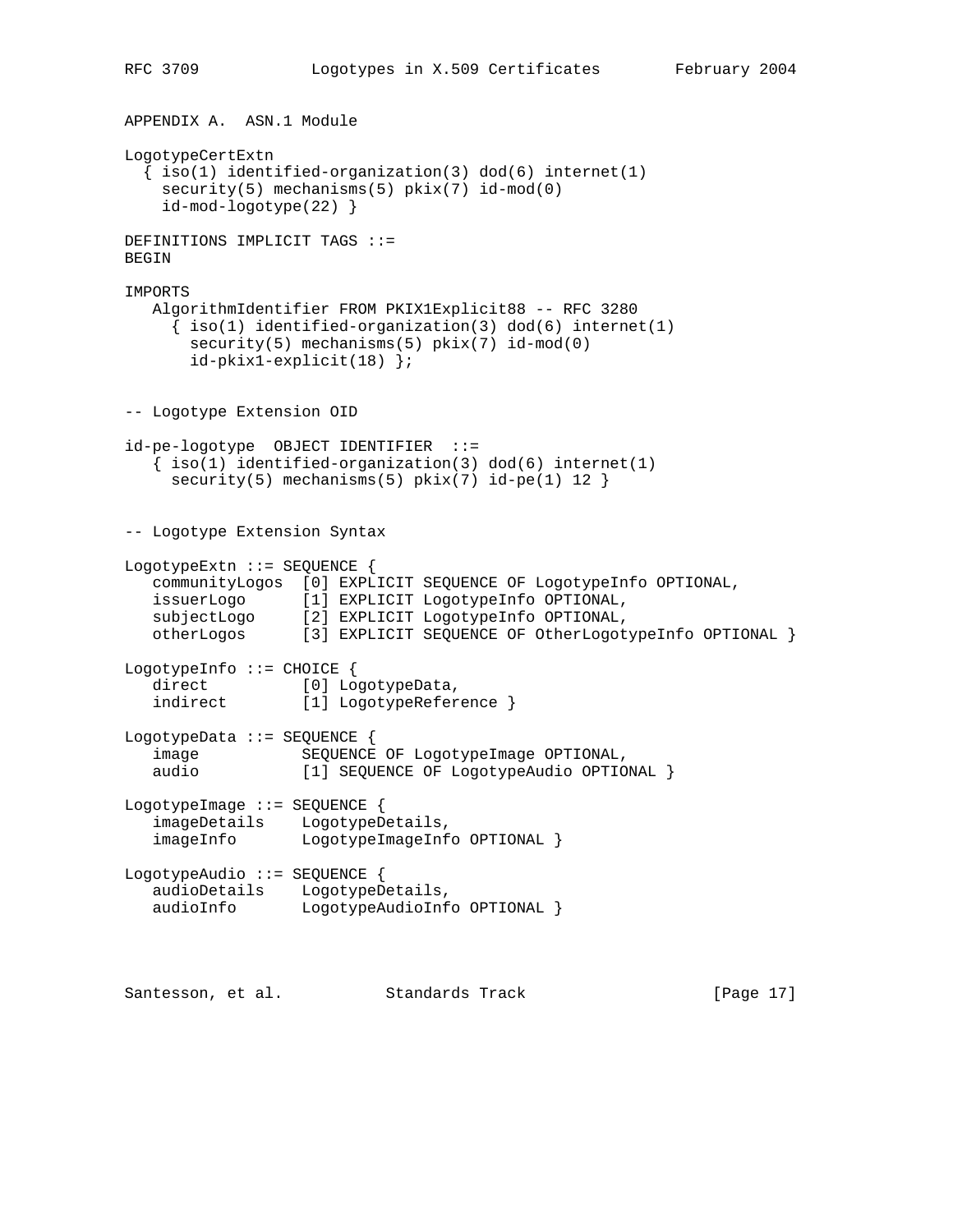```
APPENDIX A. ASN.1 Module
LogotypeCertExtn
  \{ iso(1) <i>identified-organization(3) <math> dod(6) <i>internet(1)</i> security(5) mechanisms(5) pkix(7) id-mod(0)
     id-mod-logotype(22) }
DEFINITIONS IMPLICIT TAGS ::=
BEGIN
IMPORTS
   AlgorithmIdentifier FROM PKIX1Explicit88 -- RFC 3280
     \{ iso(1) <i>identified-organization(3) <math> dod(6) <i>internet(1)</i>security(5) mechanisms(5) pkix(7) id-mod(0)
        id-pkix1-explicit(18) };
-- Logotype Extension OID
id-pe-logotype OBJECT IDENTIFIER ::=
   \{ iso(1) identified-organization(3) dod(6) internet(1)
    security(5) mechanisms(5) pix(7) id-pe(1) 12 }
-- Logotype Extension Syntax
LogotypeExtn ::= SEQUENCE {
   communityLogos [0] EXPLICIT SEQUENCE OF LogotypeInfo OPTIONAL,
   issuerLogo [1] EXPLICIT LogotypeInfo OPTIONAL,
 subjectLogo [2] EXPLICIT LogotypeInfo OPTIONAL,
 otherLogos [3] EXPLICIT SEQUENCE OF OtherLogotypeInfo OPTIONAL }
LogotypeInfo ::= CHOICE {
  direct [0] LogotypeData,<br>indirect [1] LogotypeRefer
                 [1] LogotypeReference }
LogotypeData ::= SEQUENCE {
    image SEQUENCE OF LogotypeImage OPTIONAL,
    audio [1] SEQUENCE OF LogotypeAudio OPTIONAL }
LogotypeImage ::= SEQUENCE {
    imageDetails LogotypeDetails,
    imageInfo LogotypeImageInfo OPTIONAL }
LogotypeAudio ::= SEQUENCE {
   audioDetails LogotypeDetails,
  audioInfo LogotypeAudioInfo OPTIONAL }
Santesson, et al. Standards Track [Page 17]
```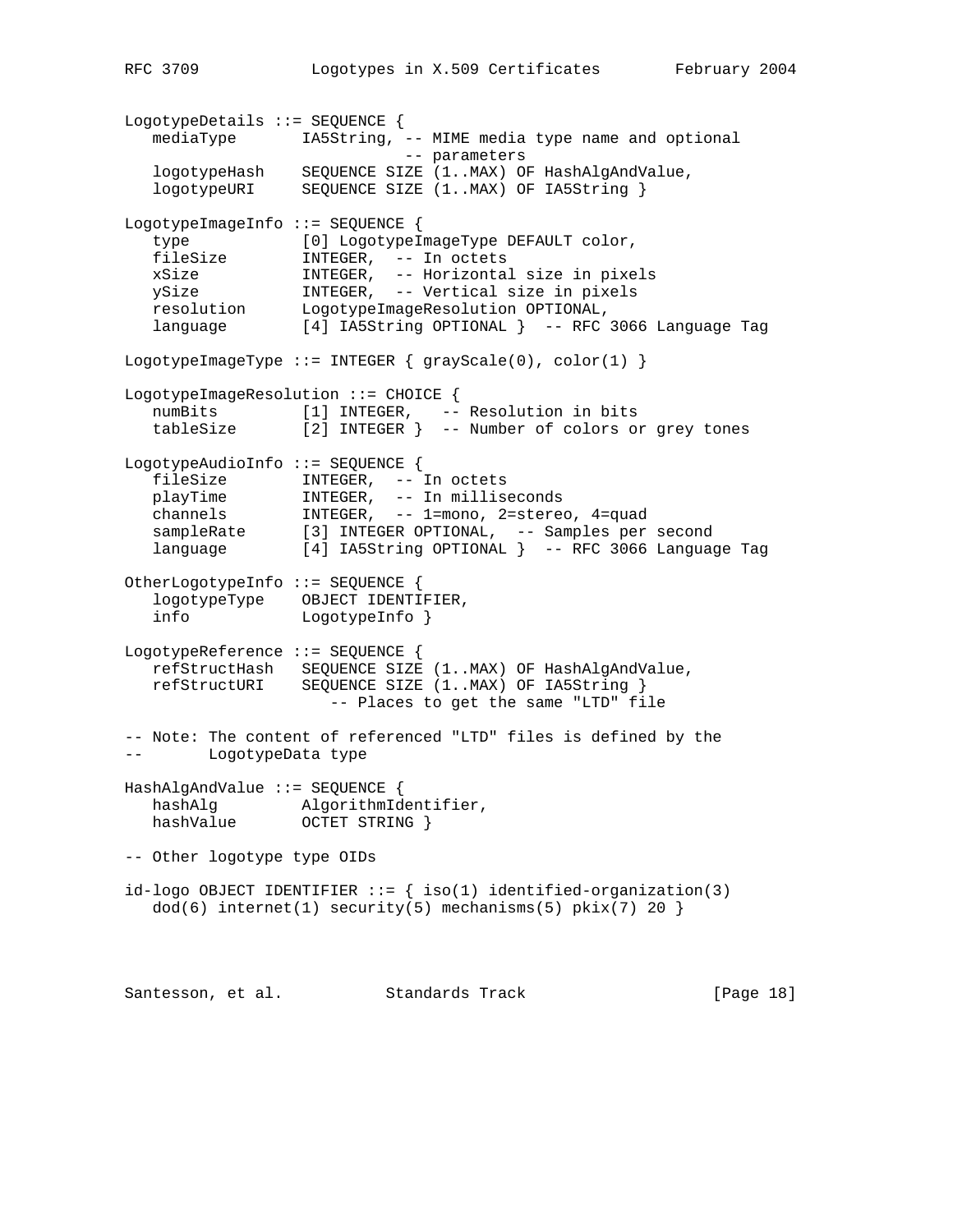LogotypeDetails ::= SEQUENCE { mediaType IA5String, -- MIME media type name and optional -- parameters logotypeHash SEQUENCE SIZE (1..MAX) OF HashAlgAndValue, logotypeURI SEQUENCE SIZE (1..MAX) OF IA5String } LogotypeImageInfo ::= SEQUENCE { type [0] LogotypeImageType DEFAULT color, fileSize INTEGER, -- In octets xSize INTEGER, -- Horizontal size in pixels ySize INTEGER, -- Vertical size in pixels resolution LogotypeImageResolution OPTIONAL, language [4] IA5String OPTIONAL } -- RFC 3066 Language Tag LogotypeImageType ::= INTEGER  $\{ \text{grayScale}(0), \text{color}(1) \}$ LogotypeImageResolution ::= CHOICE { numBits [1] INTEGER, -- Resolution in bits tableSize [2] INTEGER } -- Number of colors or grey tones LogotypeAudioInfo ::= SEQUENCE { fileSize INTEGER, -- In octets playTime INTEGER, -- In milliseconds channels INTEGER, -- 1=mono, 2=stereo, 4=quad sampleRate [3] INTEGER OPTIONAL, -- Samples per second language [4] IA5String OPTIONAL } -- RFC 3066 Language Tag OtherLogotypeInfo ::= SEQUENCE { logotypeType OBJECT IDENTIFIER, info LogotypeInfo } LogotypeReference ::= SEQUENCE { refStructHash SEQUENCE SIZE (1..MAX) OF HashAlgAndValue, refStructURI SEQUENCE SIZE (1..MAX) OF IA5String } -- Places to get the same "LTD" file -- Note: The content of referenced "LTD" files is defined by the LogotypeData type HashAlgAndValue ::= SEQUENCE { hashAlg algorithmIdentifier,<br>hashValue OCTET STRING } OCTET STRING } -- Other logotype type OIDs id-logo OBJECT IDENTIFIER  $::=$  { iso(1) identified-organization(3)  $dod(6)$  internet(1) security(5) mechanisms(5) pkix(7) 20 }

Santesson, et al. Standards Track [Page 18]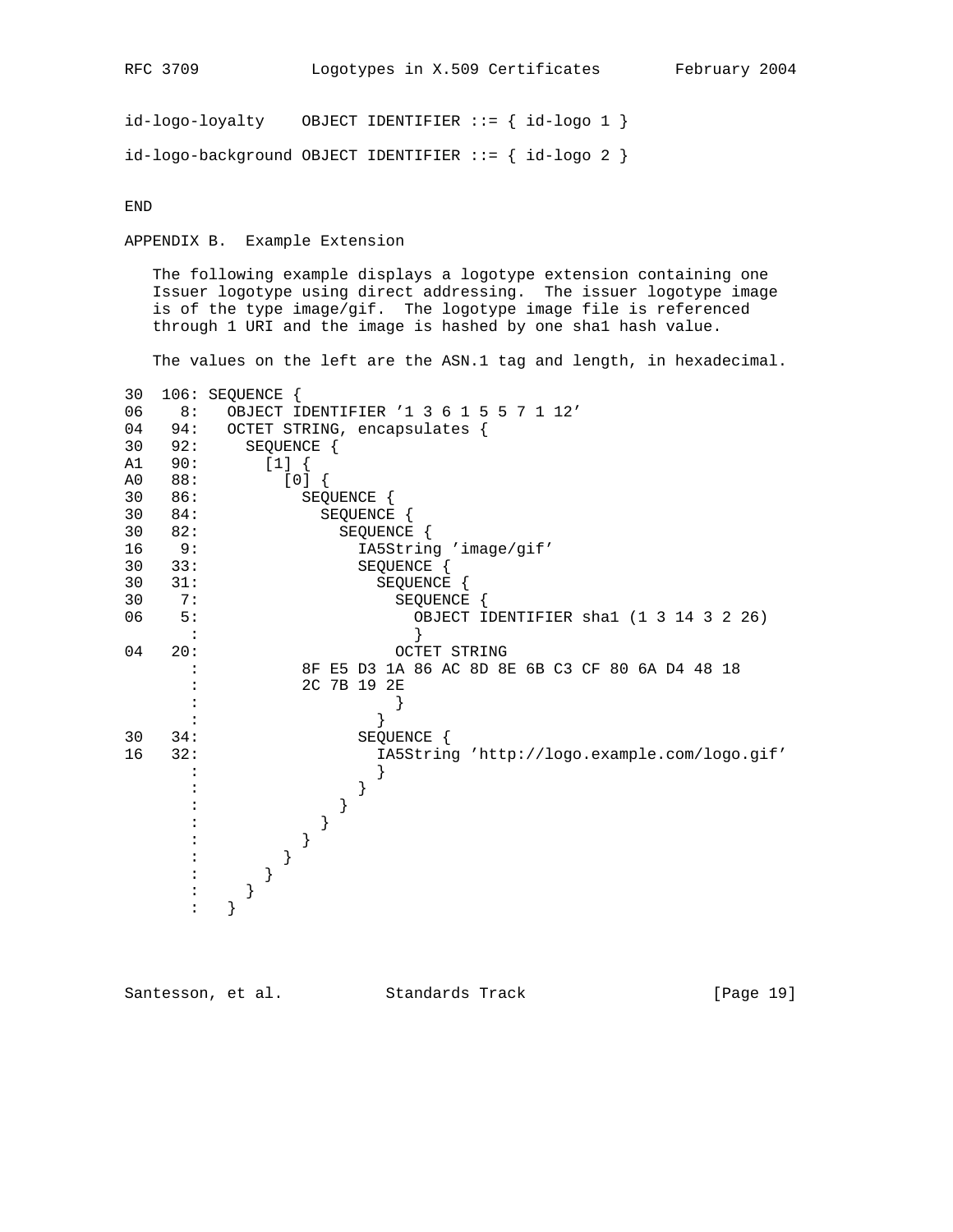$id-logo-logality$  OBJECT IDENTIFIER ::= {  $id-logo 1$  }  $id-logo-background OBJECT IDENTIFYER ::= { id-logo 2 }$ 

END

APPENDIX B. Example Extension

 The following example displays a logotype extension containing one Issuer logotype using direct addressing. The issuer logotype image is of the type image/gif. The logotype image file is referenced through 1 URI and the image is hashed by one sha1 hash value.

The values on the left are the ASN.1 tag and length, in hexadecimal.

| 30 |     | 106: SEQUENCE                                   |
|----|-----|-------------------------------------------------|
| 06 | 8:  | OBJECT IDENTIFIER '1 3 6 1 5 5 7 1 12'          |
| 04 | 94: | OCTET STRING, encapsulates {                    |
| 30 | 92: | SEQUENCE {                                      |
| A1 | 90: | $[1]$ {                                         |
| A0 | 88: | [0]                                             |
| 30 | 86: | SEQUENCE {                                      |
| 30 | 84: | SEQUENCE {                                      |
| 30 | 82: | SEQUENCE {                                      |
| 16 | 9:  | IA5String 'image/gif'                           |
| 30 | 33: | SEQUENCE {                                      |
| 30 | 31: | SEQUENCE {                                      |
| 30 | 7:  | SEQUENCE {                                      |
| 06 | 5:  | OBJECT IDENTIFIER shal (1 3 14 3 2 26)          |
|    |     |                                                 |
| 04 | 20: | <b>OCTET STRING</b>                             |
|    |     | 8F E5 D3 1A 86 AC 8D 8E 6B C3 CF 80 6A D4 48 18 |
|    |     | 2C 7B 19 2E                                     |
|    |     |                                                 |
|    |     |                                                 |
| 30 | 34: | SEQUENCE {                                      |
| 16 | 32: | IA5String 'http://logo.example.com/logo.gif'    |
|    |     |                                                 |
|    |     |                                                 |
|    |     |                                                 |
|    |     |                                                 |
|    |     |                                                 |
|    |     |                                                 |
|    |     |                                                 |
|    |     |                                                 |
|    |     |                                                 |

Santesson, et al. Standards Track [Page 19]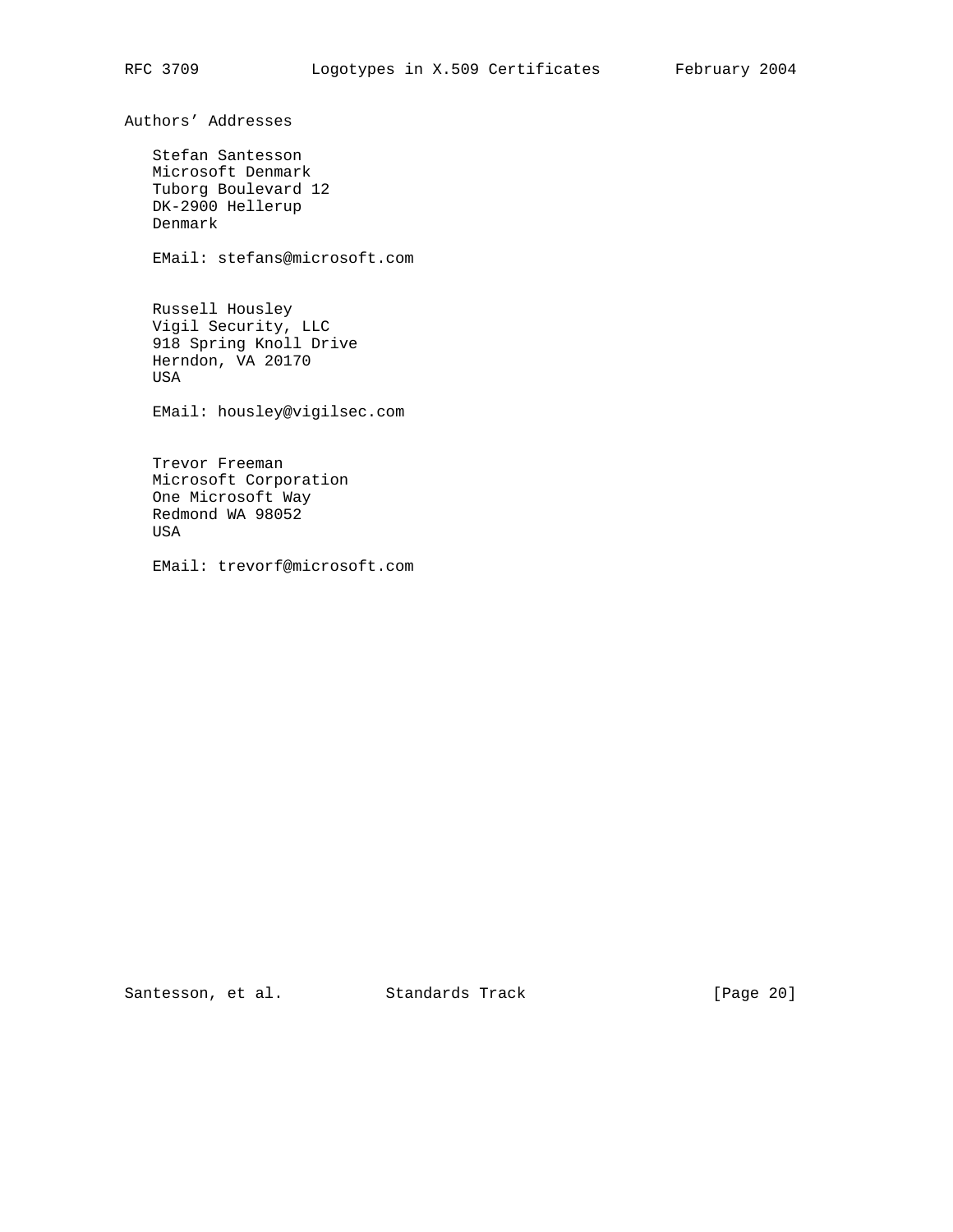Authors' Addresses

 Stefan Santesson Microsoft Denmark Tuborg Boulevard 12 DK-2900 Hellerup Denmark

EMail: stefans@microsoft.com

 Russell Housley Vigil Security, LLC 918 Spring Knoll Drive Herndon, VA 20170 USA

EMail: housley@vigilsec.com

 Trevor Freeman Microsoft Corporation One Microsoft Way Redmond WA 98052 USA

EMail: trevorf@microsoft.com

Santesson, et al. Standards Track [Page 20]